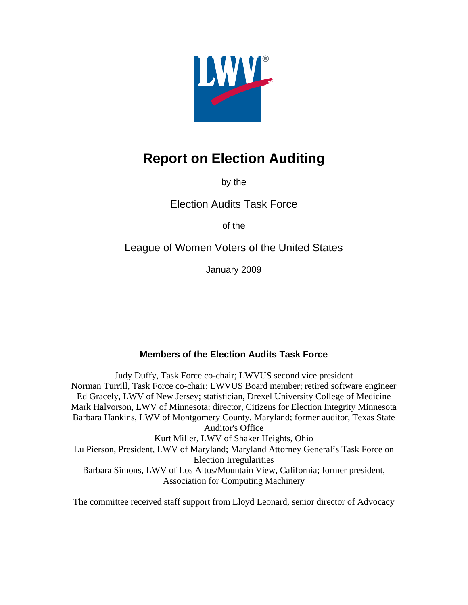

# **Report on Election Auditing**

by the

Election Audits Task Force

of the

League of Women Voters of the United States

January 2009

## **Members of the Election Audits Task Force**

Judy Duffy, Task Force co-chair; LWVUS second vice president Norman Turrill, Task Force co-chair; LWVUS Board member; retired software engineer Ed Gracely, LWV of New Jersey; statistician, Drexel University College of Medicine Mark Halvorson, LWV of Minnesota; director, Citizens for Election Integrity Minnesota Barbara Hankins, LWV of Montgomery County, Maryland; former auditor, Texas State Auditor's Office Kurt Miller, LWV of Shaker Heights, Ohio Lu Pierson, President, LWV of Maryland; Maryland Attorney General's Task Force on Election Irregularities Barbara Simons, LWV of Los Altos/Mountain View, California; former president, Association for Computing Machinery

The committee received staff support from Lloyd Leonard, senior director of Advocacy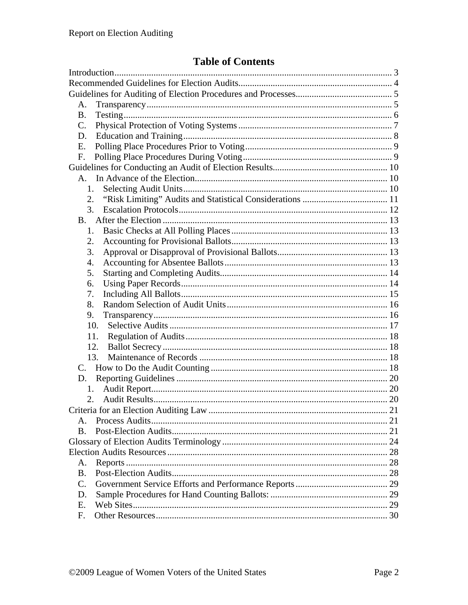# **Table of Contents**

| А.                                    |    |
|---------------------------------------|----|
| В.                                    |    |
| $\mathbf{C}$ .                        |    |
| D.                                    |    |
| E.                                    |    |
| F.                                    |    |
|                                       |    |
|                                       |    |
| 1.                                    |    |
| 2.                                    |    |
| 3.                                    |    |
| <b>B</b> .                            |    |
| 1.                                    |    |
| 2.                                    |    |
| 3.                                    |    |
| 4.                                    |    |
| 5.                                    |    |
| 6.                                    |    |
| 7.                                    |    |
| 8.                                    |    |
| 9.                                    |    |
| 10.                                   |    |
| 11.                                   |    |
| 12.                                   |    |
| 13.                                   |    |
| $C_{\alpha}$                          |    |
| D.                                    |    |
| 1.                                    |    |
| 2.                                    |    |
| Criteria for an Election Auditing Law | 21 |
|                                       |    |
| B.                                    |    |
|                                       |    |
|                                       |    |
| A.                                    |    |
| <b>B.</b>                             |    |
| $\mathcal{C}$ .                       |    |
| D.                                    |    |
| Ε.                                    |    |
| F.                                    |    |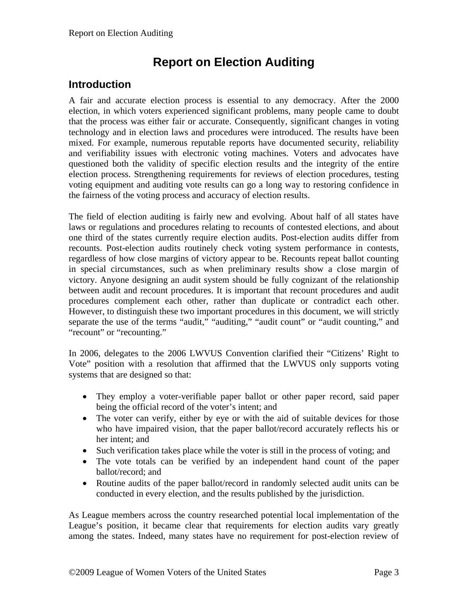# **Report on Election Auditing**

## <span id="page-2-0"></span>**Introduction**

A fair and accurate election process is essential to any democracy. After the 2000 election, in which voters experienced significant problems, many people came to doubt that the process was either fair or accurate. Consequently, significant changes in voting technology and in election laws and procedures were introduced. The results have been mixed. For example, numerous reputable reports have documented security, reliability and verifiability issues with electronic voting machines. Voters and advocates have questioned both the validity of specific election results and the integrity of the entire election process. Strengthening requirements for reviews of election procedures, testing voting equipment and auditing vote results can go a long way to restoring confidence in the fairness of the voting process and accuracy of election results.

The field of election auditing is fairly new and evolving. About half of all states have laws or regulations and procedures relating to recounts of contested elections, and about one third of the states currently require election audits. Post-election audits differ from recounts. Post-election audits routinely check voting system performance in contests, regardless of how close margins of victory appear to be. Recounts repeat ballot counting in special circumstances, such as when preliminary results show a close margin of victory. Anyone designing an audit system should be fully cognizant of the relationship between audit and recount procedures. It is important that recount procedures and audit procedures complement each other, rather than duplicate or contradict each other. However, to distinguish these two important procedures in this document, we will strictly separate the use of the terms "audit," "auditing," "audit count" or "audit counting," and "recount" or "recounting."

In 2006, delegates to the 2006 LWVUS Convention clarified their "Citizens' Right to Vote" position with a resolution that affirmed that the LWVUS only supports voting systems that are designed so that:

- They employ a voter-verifiable paper ballot or other paper record, said paper being the official record of the voter's intent; and
- The voter can verify, either by eye or with the aid of suitable devices for those who have impaired vision, that the paper ballot/record accurately reflects his or her intent; and
- Such verification takes place while the voter is still in the process of voting; and
- The vote totals can be verified by an independent hand count of the paper ballot/record; and
- Routine audits of the paper ballot/record in randomly selected audit units can be conducted in every election, and the results published by the jurisdiction.

As League members across the country researched potential local implementation of the League's position, it became clear that requirements for election audits vary greatly among the states. Indeed, many states have no requirement for post-election review of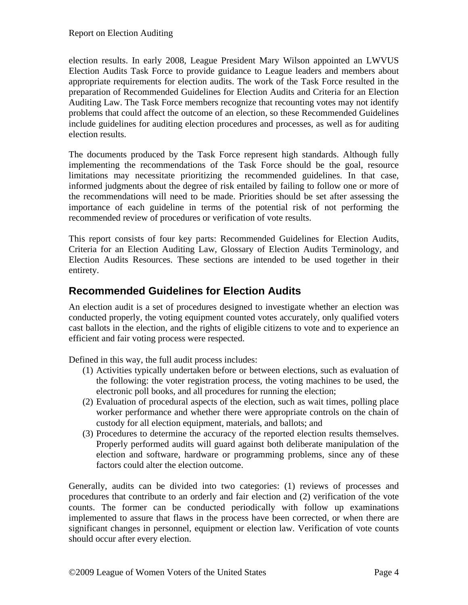election results. In early 2008, League President Mary Wilson appointed an LWVUS Election Audits Task Force to provide guidance to League leaders and members about appropriate requirements for election audits. The work of the Task Force resulted in the preparation of Recommended Guidelines for Election Audits and Criteria for an Election Auditing Law. The Task Force members recognize that recounting votes may not identify problems that could affect the outcome of an election, so these Recommended Guidelines include guidelines for auditing election procedures and processes, as well as for auditing election results.

The documents produced by the Task Force represent high standards. Although fully implementing the recommendations of the Task Force should be the goal, resource limitations may necessitate prioritizing the recommended guidelines. In that case, informed judgments about the degree of risk entailed by failing to follow one or more of the recommendations will need to be made. Priorities should be set after assessing the importance of each guideline in terms of the potential risk of not performing the recommended review of procedures or verification of vote results.

This report consists of four key parts: Recommended Guidelines for Election Audits, Criteria for an Election Auditing Law, Glossary of Election Audits Terminology, and Election Audits Resources. These sections are intended to be used together in their entirety.

## <span id="page-3-0"></span>**Recommended Guidelines for Election Audits**

An election audit is a set of procedures designed to investigate whether an election was conducted properly, the voting equipment counted votes accurately, only qualified voters cast ballots in the election, and the rights of eligible citizens to vote and to experience an efficient and fair voting process were respected.

Defined in this way, the full audit process includes:

- (1) Activities typically undertaken before or between elections, such as evaluation of the following: the voter registration process, the voting machines to be used, the electronic poll books, and all procedures for running the election;
- (2) Evaluation of procedural aspects of the election, such as wait times, polling place worker performance and whether there were appropriate controls on the chain of custody for all election equipment, materials, and ballots; and
- (3) Procedures to determine the accuracy of the reported election results themselves. Properly performed audits will guard against both deliberate manipulation of the election and software, hardware or programming problems, since any of these factors could alter the election outcome.

Generally, audits can be divided into two categories: (1) reviews of processes and procedures that contribute to an orderly and fair election and (2) verification of the vote counts. The former can be conducted periodically with follow up examinations implemented to assure that flaws in the process have been corrected, or when there are significant changes in personnel, equipment or election law. Verification of vote counts should occur after every election.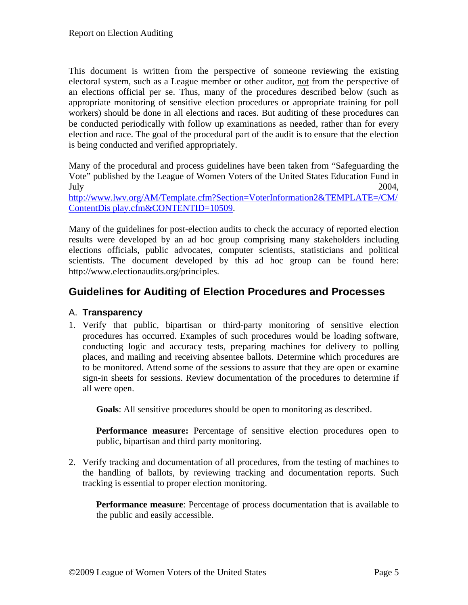This document is written from the perspective of someone reviewing the existing electoral system, such as a League member or other auditor, not from the perspective of an elections official per se. Thus, many of the procedures described below (such as appropriate monitoring of sensitive election procedures or appropriate training for poll workers) should be done in all elections and races. But auditing of these procedures can be conducted periodically with follow up examinations as needed, rather than for every election and race. The goal of the procedural part of the audit is to ensure that the election is being conducted and verified appropriately.

Many of the procedural and process guidelines have been taken from "Safeguarding the Vote" published by the League of Women Voters of the United States Education Fund in July 2004,

[http://www.lwv.org/AM/Template.cfm?Section=VoterInformation2&TEMPLATE=/CM/](http://www.lwv.org/AM/Template.cfm?Section=VoterInformation2&TEMPLATE=/CM/ContentDis%20play.cfm&CONTENTID=10509) [ContentDis play.cfm&CONTENTID=10509.](http://www.lwv.org/AM/Template.cfm?Section=VoterInformation2&TEMPLATE=/CM/ContentDis%20play.cfm&CONTENTID=10509)

Many of the guidelines for post-election audits to check the accuracy of reported election results were developed by an ad hoc group comprising many stakeholders including elections officials, public advocates, computer scientists, statisticians and political scientists. The document developed by this ad hoc group can be found here: http://www.electionaudits.org/principles.

## <span id="page-4-0"></span>**Guidelines for Auditing of Election Procedures and Processes**

#### <span id="page-4-1"></span>A. **Transparency**

1. Verify that public, bipartisan or third-party monitoring of sensitive election procedures has occurred. Examples of such procedures would be loading software, conducting logic and accuracy tests, preparing machines for delivery to polling places, and mailing and receiving absentee ballots. Determine which procedures are to be monitored. Attend some of the sessions to assure that they are open or examine sign-in sheets for sessions. Review documentation of the procedures to determine if all were open.

**Goals**: All sensitive procedures should be open to monitoring as described.

**Performance measure:** Percentage of sensitive election procedures open to public, bipartisan and third party monitoring.

2. Verify tracking and documentation of all procedures, from the testing of machines to the handling of ballots, by reviewing tracking and documentation reports. Such tracking is essential to proper election monitoring.

**Performance measure**: Percentage of process documentation that is available to the public and easily accessible.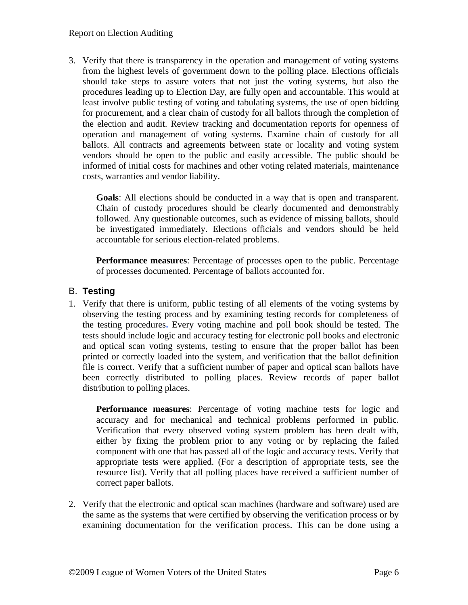#### Report on Election Auditing

3. Verify that there is transparency in the operation and management of voting systems from the highest levels of government down to the polling place. Elections officials should take steps to assure voters that not just the voting systems, but also the procedures leading up to Election Day, are fully open and accountable. This would at least involve public testing of voting and tabulating systems, the use of open bidding for procurement, and a clear chain of custody for all ballots through the completion of the election and audit. Review tracking and documentation reports for openness of operation and management of voting systems. Examine chain of custody for all ballots. All contracts and agreements between state or locality and voting system vendors should be open to the public and easily accessible. The public should be informed of initial costs for machines and other voting related materials, maintenance costs, warranties and vendor liability.

**Goals**: All elections should be conducted in a way that is open and transparent. Chain of custody procedures should be clearly documented and demonstrably followed. Any questionable outcomes, such as evidence of missing ballots, should be investigated immediately. Elections officials and vendors should be held accountable for serious election-related problems.

**Performance measures**: Percentage of processes open to the public. Percentage of processes documented. Percentage of ballots accounted for.

#### <span id="page-5-0"></span>B. **Testing**

1. Verify that there is uniform, public testing of all elements of the voting systems by observing the testing process and by examining testing records for completeness of the testing procedures**.** Every voting machine and poll book should be tested. The tests should include logic and accuracy testing for electronic poll books and electronic and optical scan voting systems, testing to ensure that the proper ballot has been printed or correctly loaded into the system, and verification that the ballot definition file is correct. Verify that a sufficient number of paper and optical scan ballots have been correctly distributed to polling places. Review records of paper ballot distribution to polling places.

**Performance measures**: Percentage of voting machine tests for logic and accuracy and for mechanical and technical problems performed in public. Verification that every observed voting system problem has been dealt with, either by fixing the problem prior to any voting or by replacing the failed component with one that has passed all of the logic and accuracy tests. Verify that appropriate tests were applied. (For a description of appropriate tests, see the resource list). Verify that all polling places have received a sufficient number of correct paper ballots.

2. Verify that the electronic and optical scan machines (hardware and software) used are the same as the systems that were certified by observing the verification process or by examining documentation for the verification process. This can be done using a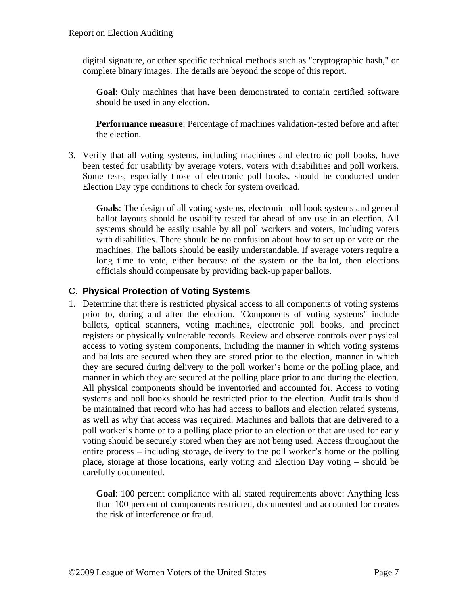digital signature, or other specific technical methods such as "cryptographic hash," or complete binary images. The details are beyond the scope of this report.

**Goal**: Only machines that have been demonstrated to contain certified software should be used in any election.

**Performance measure**: Percentage of machines validation-tested before and after the election.

3. Verify that all voting systems, including machines and electronic poll books, have been tested for usability by average voters, voters with disabilities and poll workers. Some tests, especially those of electronic poll books, should be conducted under Election Day type conditions to check for system overload.

**Goals**: The design of all voting systems, electronic poll book systems and general ballot layouts should be usability tested far ahead of any use in an election. All systems should be easily usable by all poll workers and voters, including voters with disabilities. There should be no confusion about how to set up or vote on the machines. The ballots should be easily understandable. If average voters require a long time to vote, either because of the system or the ballot, then elections officials should compensate by providing back-up paper ballots.

#### <span id="page-6-0"></span>C. **Physical Protection of Voting Systems**

1. Determine that there is restricted physical access to all components of voting systems prior to, during and after the election. "Components of voting systems" include ballots, optical scanners, voting machines, electronic poll books, and precinct registers or physically vulnerable records. Review and observe controls over physical access to voting system components, including the manner in which voting systems and ballots are secured when they are stored prior to the election, manner in which they are secured during delivery to the poll worker's home or the polling place, and manner in which they are secured at the polling place prior to and during the election. All physical components should be inventoried and accounted for. Access to voting systems and poll books should be restricted prior to the election. Audit trails should be maintained that record who has had access to ballots and election related systems, as well as why that access was required. Machines and ballots that are delivered to a poll worker's home or to a polling place prior to an election or that are used for early voting should be securely stored when they are not being used. Access throughout the entire process – including storage, delivery to the poll worker's home or the polling place, storage at those locations, early voting and Election Day voting – should be carefully documented.

**Goal**: 100 percent compliance with all stated requirements above: Anything less than 100 percent of components restricted, documented and accounted for creates the risk of interference or fraud.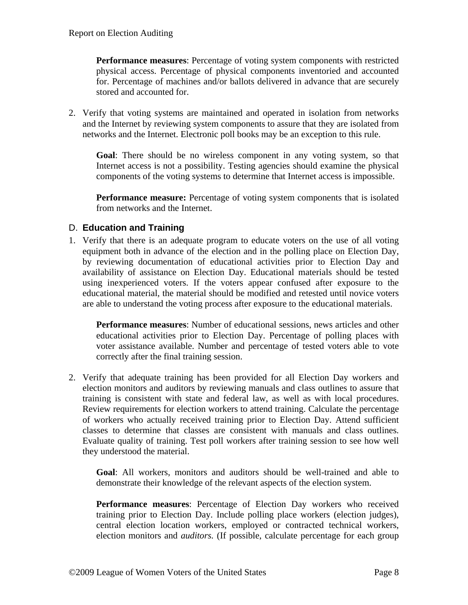**Performance measures**: Percentage of voting system components with restricted physical access. Percentage of physical components inventoried and accounted for. Percentage of machines and/or ballots delivered in advance that are securely stored and accounted for.

2. Verify that voting systems are maintained and operated in isolation from networks and the Internet by reviewing system components to assure that they are isolated from networks and the Internet. Electronic poll books may be an exception to this rule.

**Goal**: There should be no wireless component in any voting system, so that Internet access is not a possibility. Testing agencies should examine the physical components of the voting systems to determine that Internet access is impossible.

**Performance measure:** Percentage of voting system components that is isolated from networks and the Internet.

#### <span id="page-7-0"></span>D. **Education and Training**

1. Verify that there is an adequate program to educate voters on the use of all voting equipment both in advance of the election and in the polling place on Election Day, by reviewing documentation of educational activities prior to Election Day and availability of assistance on Election Day. Educational materials should be tested using inexperienced voters. If the voters appear confused after exposure to the educational material, the material should be modified and retested until novice voters are able to understand the voting process after exposure to the educational materials.

**Performance measures**: Number of educational sessions, news articles and other educational activities prior to Election Day. Percentage of polling places with voter assistance available. Number and percentage of tested voters able to vote correctly after the final training session.

2. Verify that adequate training has been provided for all Election Day workers and election monitors and auditors by reviewing manuals and class outlines to assure that training is consistent with state and federal law, as well as with local procedures. Review requirements for election workers to attend training. Calculate the percentage of workers who actually received training prior to Election Day. Attend sufficient classes to determine that classes are consistent with manuals and class outlines. Evaluate quality of training. Test poll workers after training session to see how well they understood the material.

**Goal**: All workers, monitors and auditors should be well-trained and able to demonstrate their knowledge of the relevant aspects of the election system.

**Performance measures**: Percentage of Election Day workers who received training prior to Election Day. Include polling place workers (election judges), central election location workers, employed or contracted technical workers, election monitors and *auditors.* (If possible, calculate percentage for each group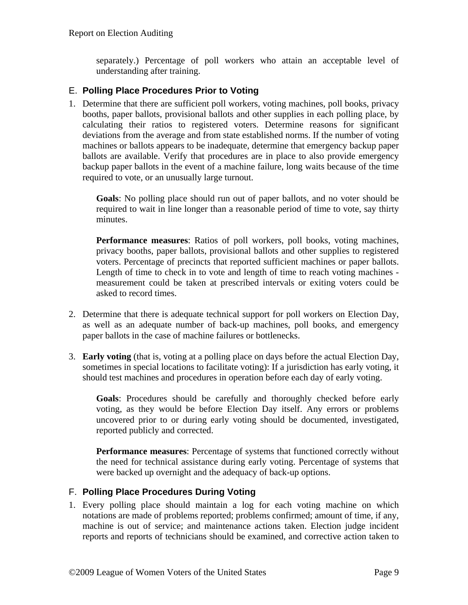separately.) Percentage of poll workers who attain an acceptable level of understanding after training.

#### <span id="page-8-0"></span>E. **Polling Place Procedures Prior to Voting**

1. Determine that there are sufficient poll workers, voting machines, poll books, privacy booths, paper ballots, provisional ballots and other supplies in each polling place, by calculating their ratios to registered voters. Determine reasons for significant deviations from the average and from state established norms. If the number of voting machines or ballots appears to be inadequate, determine that emergency backup paper ballots are available. Verify that procedures are in place to also provide emergency backup paper ballots in the event of a machine failure, long waits because of the time required to vote, or an unusually large turnout.

**Goals**: No polling place should run out of paper ballots, and no voter should be required to wait in line longer than a reasonable period of time to vote, say thirty minutes.

**Performance measures**: Ratios of poll workers, poll books, voting machines, privacy booths, paper ballots, provisional ballots and other supplies to registered voters. Percentage of precincts that reported sufficient machines or paper ballots. Length of time to check in to vote and length of time to reach voting machines measurement could be taken at prescribed intervals or exiting voters could be asked to record times.

- 2. Determine that there is adequate technical support for poll workers on Election Day, as well as an adequate number of back-up machines, poll books, and emergency paper ballots in the case of machine failures or bottlenecks.
- 3. **Early voting** (that is, voting at a polling place on days before the actual Election Day, sometimes in special locations to facilitate voting): If a jurisdiction has early voting, it should test machines and procedures in operation before each day of early voting.

**Goals**: Procedures should be carefully and thoroughly checked before early voting, as they would be before Election Day itself. Any errors or problems uncovered prior to or during early voting should be documented, investigated, reported publicly and corrected.

**Performance measures**: Percentage of systems that functioned correctly without the need for technical assistance during early voting. Percentage of systems that were backed up overnight and the adequacy of back-up options.

#### <span id="page-8-1"></span>F. **Polling Place Procedures During Voting**

1. Every polling place should maintain a log for each voting machine on which notations are made of problems reported; problems confirmed; amount of time, if any, machine is out of service; and maintenance actions taken. Election judge incident reports and reports of technicians should be examined, and corrective action taken to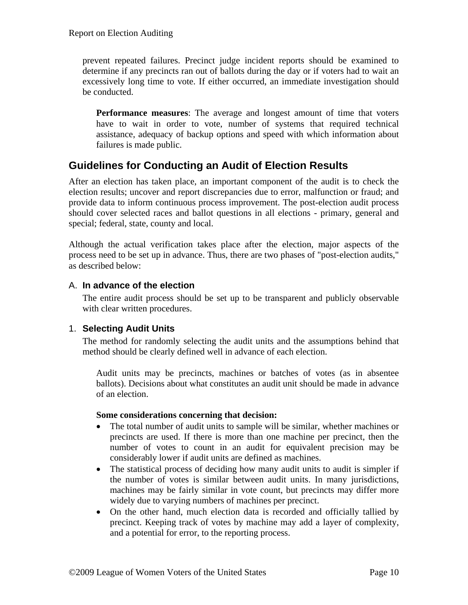prevent repeated failures. Precinct judge incident reports should be examined to determine if any precincts ran out of ballots during the day or if voters had to wait an excessively long time to vote. If either occurred, an immediate investigation should be conducted.

**Performance measures**: The average and longest amount of time that voters have to wait in order to vote, number of systems that required technical assistance, adequacy of backup options and speed with which information about failures is made public.

## <span id="page-9-0"></span>**Guidelines for Conducting an Audit of Election Results**

After an election has taken place, an important component of the audit is to check the election results; uncover and report discrepancies due to error, malfunction or fraud; and provide data to inform continuous process improvement. The post-election audit process should cover selected races and ballot questions in all elections - primary, general and special; federal, state, county and local.

Although the actual verification takes place after the election, major aspects of the process need to be set up in advance. Thus, there are two phases of "post-election audits," as described below:

#### <span id="page-9-1"></span>A. **In advance of the election**

The entire audit process should be set up to be transparent and publicly observable with clear written procedures.

#### <span id="page-9-2"></span>1. **Selecting Audit Units**

The method for randomly selecting the audit units and the assumptions behind that method should be clearly defined well in advance of each election.

Audit units may be precincts, machines or batches of votes (as in absentee ballots). Decisions about what constitutes an audit unit should be made in advance of an election.

#### **Some considerations concerning that decision:**

- The total number of audit units to sample will be similar, whether machines or precincts are used. If there is more than one machine per precinct, then the number of votes to count in an audit for equivalent precision may be considerably lower if audit units are defined as machines.
- The statistical process of deciding how many audit units to audit is simpler if the number of votes is similar between audit units. In many jurisdictions, machines may be fairly similar in vote count, but precincts may differ more widely due to varying numbers of machines per precinct.
- On the other hand, much election data is recorded and officially tallied by precinct. Keeping track of votes by machine may add a layer of complexity, and a potential for error, to the reporting process.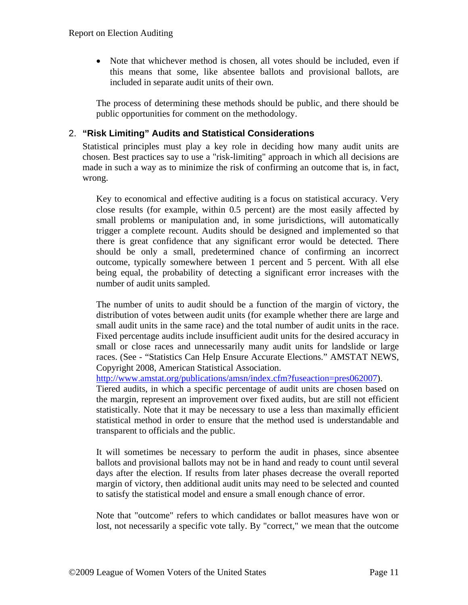• Note that whichever method is chosen, all votes should be included, even if this means that some, like absentee ballots and provisional ballots, are included in separate audit units of their own.

The process of determining these methods should be public, and there should be public opportunities for comment on the methodology.

#### <span id="page-10-0"></span>2. **"Risk Limiting" Audits and Statistical Considerations**

Statistical principles must play a key role in deciding how many audit units are chosen. Best practices say to use a "risk-limiting" approach in which all decisions are made in such a way as to minimize the risk of confirming an outcome that is, in fact, wrong.

Key to economical and effective auditing is a focus on statistical accuracy. Very close results (for example, within 0.5 percent) are the most easily affected by small problems or manipulation and, in some jurisdictions, will automatically trigger a complete recount. Audits should be designed and implemented so that there is great confidence that any significant error would be detected. There should be only a small, predetermined chance of confirming an incorrect outcome, typically somewhere between 1 percent and 5 percent. With all else being equal, the probability of detecting a significant error increases with the number of audit units sampled.

The number of units to audit should be a function of the margin of victory, the distribution of votes between audit units (for example whether there are large and small audit units in the same race) and the total number of audit units in the race. Fixed percentage audits include insufficient audit units for the desired accuracy in small or close races and unnecessarily many audit units for landslide or large races. (See - "Statistics Can Help Ensure Accurate Elections." AMSTAT NEWS, Copyright 2008, American Statistical Association.

[http://www.amstat.org/publications/amsn/index.cfm?fuseaction=pres062007\)](http://www.amstat.org/publications/amsn/index.cfm?fuseaction=pres062007).

Tiered audits, in which a specific percentage of audit units are chosen based on the margin, represent an improvement over fixed audits, but are still not efficient statistically. Note that it may be necessary to use a less than maximally efficient statistical method in order to ensure that the method used is understandable and transparent to officials and the public.

It will sometimes be necessary to perform the audit in phases, since absentee ballots and provisional ballots may not be in hand and ready to count until several days after the election. If results from later phases decrease the overall reported margin of victory, then additional audit units may need to be selected and counted to satisfy the statistical model and ensure a small enough chance of error.

Note that "outcome" refers to which candidates or ballot measures have won or lost, not necessarily a specific vote tally. By "correct," we mean that the outcome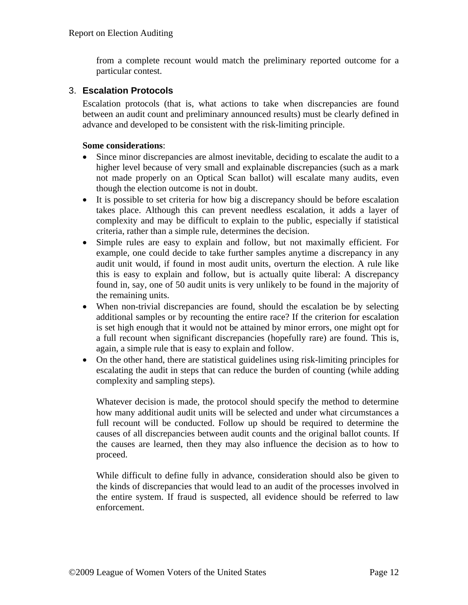from a complete recount would match the preliminary reported outcome for a particular contest.

#### <span id="page-11-0"></span>3. **Escalation Protocols**

Escalation protocols (that is, what actions to take when discrepancies are found between an audit count and preliminary announced results) must be clearly defined in advance and developed to be consistent with the risk-limiting principle.

#### **Some considerations**:

- Since minor discrepancies are almost inevitable, deciding to escalate the audit to a higher level because of very small and explainable discrepancies (such as a mark not made properly on an Optical Scan ballot) will escalate many audits, even though the election outcome is not in doubt.
- It is possible to set criteria for how big a discrepancy should be before escalation takes place. Although this can prevent needless escalation, it adds a layer of complexity and may be difficult to explain to the public, especially if statistical criteria, rather than a simple rule, determines the decision.
- Simple rules are easy to explain and follow, but not maximally efficient. For example, one could decide to take further samples anytime a discrepancy in any audit unit would, if found in most audit units, overturn the election. A rule like this is easy to explain and follow, but is actually quite liberal: A discrepancy found in, say, one of 50 audit units is very unlikely to be found in the majority of the remaining units.
- When non-trivial discrepancies are found, should the escalation be by selecting additional samples or by recounting the entire race? If the criterion for escalation is set high enough that it would not be attained by minor errors, one might opt for a full recount when significant discrepancies (hopefully rare) are found. This is, again, a simple rule that is easy to explain and follow.
- On the other hand, there are statistical guidelines using risk-limiting principles for escalating the audit in steps that can reduce the burden of counting (while adding complexity and sampling steps).

Whatever decision is made, the protocol should specify the method to determine how many additional audit units will be selected and under what circumstances a full recount will be conducted. Follow up should be required to determine the causes of all discrepancies between audit counts and the original ballot counts. If the causes are learned, then they may also influence the decision as to how to proceed.

While difficult to define fully in advance, consideration should also be given to the kinds of discrepancies that would lead to an audit of the processes involved in the entire system. If fraud is suspected, all evidence should be referred to law enforcement.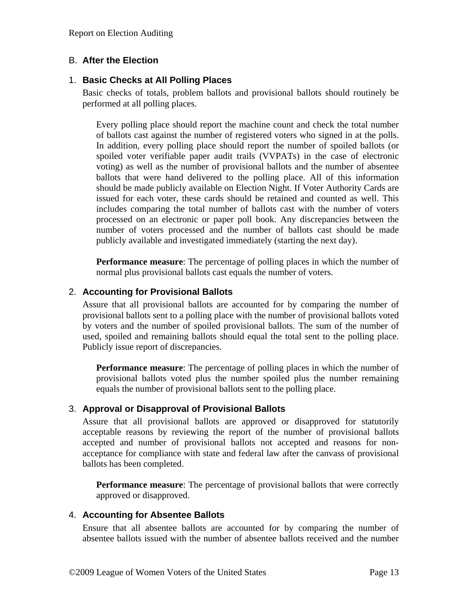#### <span id="page-12-0"></span>B. **After the Election**

#### <span id="page-12-1"></span>1. **Basic Checks at All Polling Places**

Basic checks of totals, problem ballots and provisional ballots should routinely be performed at all polling places.

Every polling place should report the machine count and check the total number of ballots cast against the number of registered voters who signed in at the polls. In addition, every polling place should report the number of spoiled ballots (or spoiled voter verifiable paper audit trails (VVPATs) in the case of electronic voting) as well as the number of provisional ballots and the number of absentee ballots that were hand delivered to the polling place. All of this information should be made publicly available on Election Night. If Voter Authority Cards are issued for each voter, these cards should be retained and counted as well. This includes comparing the total number of ballots cast with the number of voters processed on an electronic or paper poll book. Any discrepancies between the number of voters processed and the number of ballots cast should be made publicly available and investigated immediately (starting the next day).

**Performance measure**: The percentage of polling places in which the number of normal plus provisional ballots cast equals the number of voters.

#### <span id="page-12-2"></span>2. **Accounting for Provisional Ballots**

Assure that all provisional ballots are accounted for by comparing the number of provisional ballots sent to a polling place with the number of provisional ballots voted by voters and the number of spoiled provisional ballots. The sum of the number of used, spoiled and remaining ballots should equal the total sent to the polling place. Publicly issue report of discrepancies.

**Performance measure:** The percentage of polling places in which the number of provisional ballots voted plus the number spoiled plus the number remaining equals the number of provisional ballots sent to the polling place.

#### <span id="page-12-3"></span>3. **Approval or Disapproval of Provisional Ballots**

Assure that all provisional ballots are approved or disapproved for statutorily acceptable reasons by reviewing the report of the number of provisional ballots accepted and number of provisional ballots not accepted and reasons for nonacceptance for compliance with state and federal law after the canvass of provisional ballots has been completed.

**Performance measure:** The percentage of provisional ballots that were correctly approved or disapproved.

#### <span id="page-12-4"></span>4. **Accounting for Absentee Ballots**

Ensure that all absentee ballots are accounted for by comparing the number of absentee ballots issued with the number of absentee ballots received and the number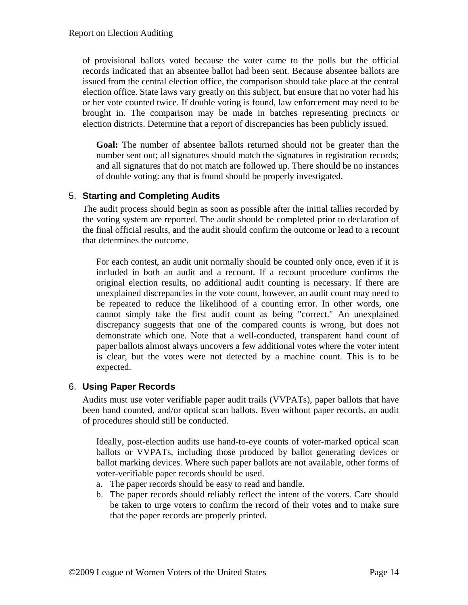of provisional ballots voted because the voter came to the polls but the official records indicated that an absentee ballot had been sent. Because absentee ballots are issued from the central election office, the comparison should take place at the central election office. State laws vary greatly on this subject, but ensure that no voter had his or her vote counted twice. If double voting is found, law enforcement may need to be brought in. The comparison may be made in batches representing precincts or election districts. Determine that a report of discrepancies has been publicly issued.

**Goal:** The number of absentee ballots returned should not be greater than the number sent out; all signatures should match the signatures in registration records; and all signatures that do not match are followed up. There should be no instances of double voting: any that is found should be properly investigated.

#### <span id="page-13-0"></span>5. **Starting and Completing Audits**

The audit process should begin as soon as possible after the initial tallies recorded by the voting system are reported. The audit should be completed prior to declaration of the final official results, and the audit should confirm the outcome or lead to a recount that determines the outcome.

For each contest, an audit unit normally should be counted only once, even if it is included in both an audit and a recount. If a recount procedure confirms the original election results, no additional audit counting is necessary. If there are unexplained discrepancies in the vote count, however, an audit count may need to be repeated to reduce the likelihood of a counting error. In other words, one cannot simply take the first audit count as being "correct." An unexplained discrepancy suggests that one of the compared counts is wrong, but does not demonstrate which one. Note that a well-conducted, transparent hand count of paper ballots almost always uncovers a few additional votes where the voter intent is clear, but the votes were not detected by a machine count. This is to be expected.

#### <span id="page-13-1"></span>6. **Using Paper Records**

Audits must use voter verifiable paper audit trails (VVPATs), paper ballots that have been hand counted, and/or optical scan ballots. Even without paper records, an audit of procedures should still be conducted.

Ideally, post-election audits use hand-to-eye counts of voter-marked optical scan ballots or VVPATs, including those produced by ballot generating devices or ballot marking devices. Where such paper ballots are not available, other forms of voter-verifiable paper records should be used.

- a. The paper records should be easy to read and handle.
- b. The paper records should reliably reflect the intent of the voters. Care should be taken to urge voters to confirm the record of their votes and to make sure that the paper records are properly printed.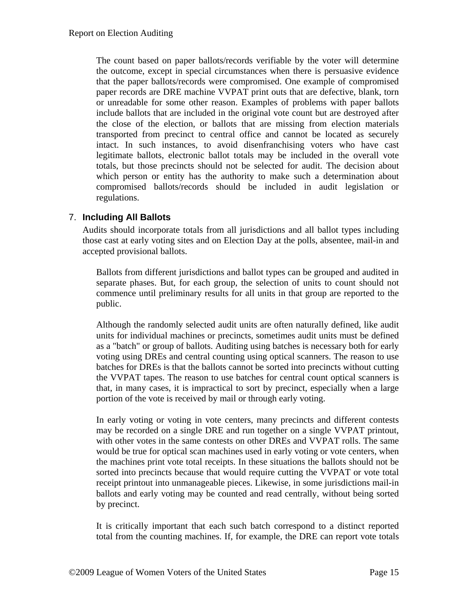The count based on paper ballots/records verifiable by the voter will determine the outcome, except in special circumstances when there is persuasive evidence that the paper ballots/records were compromised. One example of compromised paper records are DRE machine VVPAT print outs that are defective, blank, torn or unreadable for some other reason. Examples of problems with paper ballots include ballots that are included in the original vote count but are destroyed after the close of the election, or ballots that are missing from election materials transported from precinct to central office and cannot be located as securely intact. In such instances, to avoid disenfranchising voters who have cast legitimate ballots, electronic ballot totals may be included in the overall vote totals, but those precincts should not be selected for audit. The decision about which person or entity has the authority to make such a determination about compromised ballots/records should be included in audit legislation or regulations.

#### <span id="page-14-0"></span>7. **Including All Ballots**

Audits should incorporate totals from all jurisdictions and all ballot types including those cast at early voting sites and on Election Day at the polls, absentee, mail-in and accepted provisional ballots.

Ballots from different jurisdictions and ballot types can be grouped and audited in separate phases. But, for each group, the selection of units to count should not commence until preliminary results for all units in that group are reported to the public.

Although the randomly selected audit units are often naturally defined, like audit units for individual machines or precincts, sometimes audit units must be defined as a "batch" or group of ballots. Auditing using batches is necessary both for early voting using DREs and central counting using optical scanners. The reason to use batches for DREs is that the ballots cannot be sorted into precincts without cutting the VVPAT tapes. The reason to use batches for central count optical scanners is that, in many cases, it is impractical to sort by precinct, especially when a large portion of the vote is received by mail or through early voting.

In early voting or voting in vote centers, many precincts and different contests may be recorded on a single DRE and run together on a single VVPAT printout, with other votes in the same contests on other DREs and VVPAT rolls. The same would be true for optical scan machines used in early voting or vote centers, when the machines print vote total receipts. In these situations the ballots should not be sorted into precincts because that would require cutting the VVPAT or vote total receipt printout into unmanageable pieces. Likewise, in some jurisdictions mail-in ballots and early voting may be counted and read centrally, without being sorted by precinct.

It is critically important that each such batch correspond to a distinct reported total from the counting machines. If, for example, the DRE can report vote totals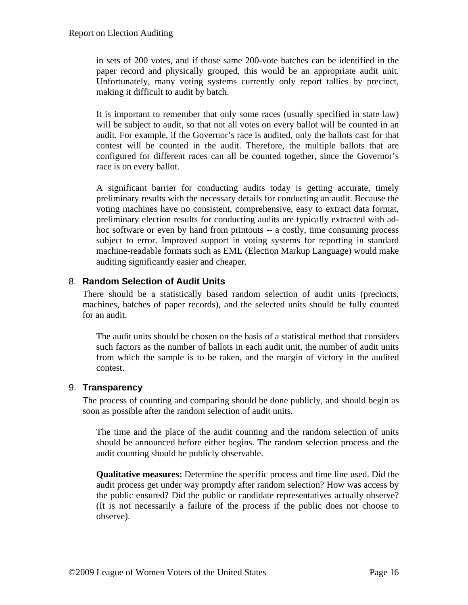in sets of 200 votes, and if those same 200-vote batches can be identified in the paper record and physically grouped, this would be an appropriate audit unit. Unfortunately, many voting systems currently only report tallies by precinct, making it difficult to audit by batch.

It is important to remember that only some races (usually specified in state law) will be subject to audit, so that not all votes on every ballot will be counted in an audit. For example, if the Governor's race is audited, only the ballots cast for that contest will be counted in the audit. Therefore, the multiple ballots that are configured for different races can all be counted together, since the Governor's race is on every ballot.

A significant barrier for conducting audits today is getting accurate, timely preliminary results with the necessary details for conducting an audit. Because the voting machines have no consistent, comprehensive, easy to extract data format, preliminary election results for conducting audits are typically extracted with adhoc software or even by hand from printouts -- a costly, time consuming process subject to error. Improved support in voting systems for reporting in standard machine-readable formats such as EML (Election Markup Language) would make auditing significantly easier and cheaper.

#### <span id="page-15-0"></span>8. **Random Selection of Audit Units**

There should be a statistically based random selection of audit units (precincts, machines, batches of paper records), and the selected units should be fully counted for an audit.

The audit units should be chosen on the basis of a statistical method that considers such factors as the number of ballots in each audit unit, the number of audit units from which the sample is to be taken, and the margin of victory in the audited contest.

#### <span id="page-15-1"></span>9. **Transparency**

The process of counting and comparing should be done publicly, and should begin as soon as possible after the random selection of audit units.

The time and the place of the audit counting and the random selection of units should be announced before either begins. The random selection process and the audit counting should be publicly observable.

**Qualitative measures:** Determine the specific process and time line used. Did the audit process get under way promptly after random selection? How was access by the public ensured? Did the public or candidate representatives actually observe? (It is not necessarily a failure of the process if the public does not choose to observe).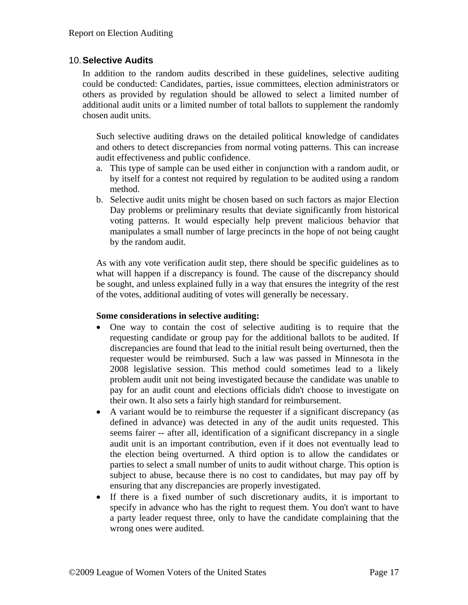#### <span id="page-16-0"></span>10.**Selective Audits**

In addition to the random audits described in these guidelines, selective auditing could be conducted: Candidates, parties, issue committees, election administrators or others as provided by regulation should be allowed to select a limited number of additional audit units or a limited number of total ballots to supplement the randomly chosen audit units.

Such selective auditing draws on the detailed political knowledge of candidates and others to detect discrepancies from normal voting patterns. This can increase audit effectiveness and public confidence.

- a. This type of sample can be used either in conjunction with a random audit, or by itself for a contest not required by regulation to be audited using a random method.
- b. Selective audit units might be chosen based on such factors as major Election Day problems or preliminary results that deviate significantly from historical voting patterns. It would especially help prevent malicious behavior that manipulates a small number of large precincts in the hope of not being caught by the random audit.

As with any vote verification audit step, there should be specific guidelines as to what will happen if a discrepancy is found. The cause of the discrepancy should be sought, and unless explained fully in a way that ensures the integrity of the rest of the votes, additional auditing of votes will generally be necessary.

#### **Some considerations in selective auditing:**

- One way to contain the cost of selective auditing is to require that the requesting candidate or group pay for the additional ballots to be audited. If discrepancies are found that lead to the initial result being overturned, then the requester would be reimbursed. Such a law was passed in Minnesota in the 2008 legislative session. This method could sometimes lead to a likely problem audit unit not being investigated because the candidate was unable to pay for an audit count and elections officials didn't choose to investigate on their own. It also sets a fairly high standard for reimbursement.
- A variant would be to reimburse the requester if a significant discrepancy (as defined in advance) was detected in any of the audit units requested. This seems fairer -- after all, identification of a significant discrepancy in a single audit unit is an important contribution, even if it does not eventually lead to the election being overturned. A third option is to allow the candidates or parties to select a small number of units to audit without charge. This option is subject to abuse, because there is no cost to candidates, but may pay off by ensuring that any discrepancies are properly investigated.
- If there is a fixed number of such discretionary audits, it is important to specify in advance who has the right to request them. You don't want to have a party leader request three, only to have the candidate complaining that the wrong ones were audited.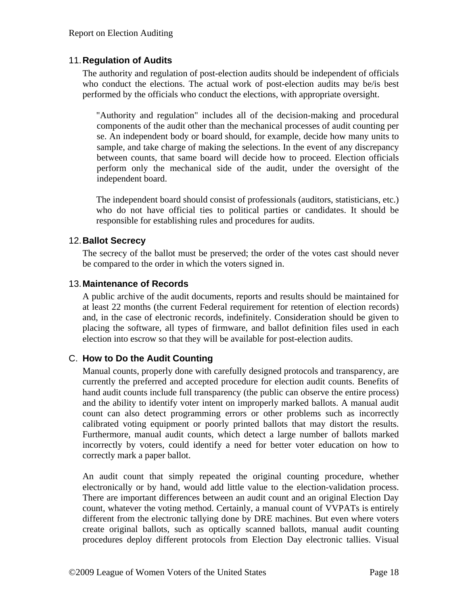#### <span id="page-17-0"></span>11.**Regulation of Audits**

The authority and regulation of post-election audits should be independent of officials who conduct the elections. The actual work of post-election audits may be/is best performed by the officials who conduct the elections, with appropriate oversight.

"Authority and regulation" includes all of the decision-making and procedural components of the audit other than the mechanical processes of audit counting per se. An independent body or board should, for example, decide how many units to sample, and take charge of making the selections. In the event of any discrepancy between counts, that same board will decide how to proceed. Election officials perform only the mechanical side of the audit, under the oversight of the independent board.

The independent board should consist of professionals (auditors, statisticians, etc.) who do not have official ties to political parties or candidates. It should be responsible for establishing rules and procedures for audits.

#### <span id="page-17-1"></span>12.**Ballot Secrecy**

The secrecy of the ballot must be preserved; the order of the votes cast should never be compared to the order in which the voters signed in.

#### <span id="page-17-2"></span>13.**Maintenance of Records**

A public archive of the audit documents, reports and results should be maintained for at least 22 months (the current Federal requirement for retention of election records) and, in the case of electronic records, indefinitely. Consideration should be given to placing the software, all types of firmware, and ballot definition files used in each election into escrow so that they will be available for post-election audits.

#### <span id="page-17-3"></span>C. **How to Do the Audit Counting**

Manual counts, properly done with carefully designed protocols and transparency, are currently the preferred and accepted procedure for election audit counts. Benefits of hand audit counts include full transparency (the public can observe the entire process) and the ability to identify voter intent on improperly marked ballots. A manual audit count can also detect programming errors or other problems such as incorrectly calibrated voting equipment or poorly printed ballots that may distort the results. Furthermore, manual audit counts, which detect a large number of ballots marked incorrectly by voters, could identify a need for better voter education on how to correctly mark a paper ballot.

An audit count that simply repeated the original counting procedure, whether electronically or by hand, would add little value to the election-validation process. There are important differences between an audit count and an original Election Day count, whatever the voting method. Certainly, a manual count of VVPATs is entirely different from the electronic tallying done by DRE machines. But even where voters create original ballots, such as optically scanned ballots, manual audit counting procedures deploy different protocols from Election Day electronic tallies. Visual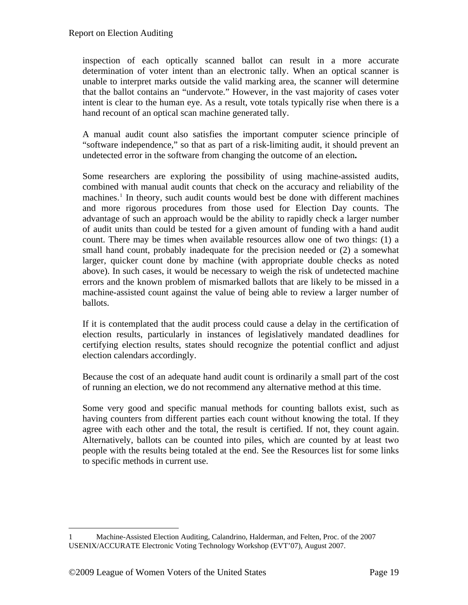inspection of each optically scanned ballot can result in a more accurate determination of voter intent than an electronic tally. When an optical scanner is unable to interpret marks outside the valid marking area, the scanner will determine that the ballot contains an "undervote." However, in the vast majority of cases voter intent is clear to the human eye. As a result, vote totals typically rise when there is a hand recount of an optical scan machine generated tally.

A manual audit count also satisfies the important computer science principle of "software independence," so that as part of a risk-limiting audit, it should prevent an undetected error in the software from changing the outcome of an election**.** 

Some researchers are exploring the possibility of using machine-assisted audits, combined with manual audit counts that check on the accuracy and reliability of the machines.<sup>[1](#page-18-0)</sup> In theory, such audit counts would best be done with different machines and more rigorous procedures from those used for Election Day counts. The advantage of such an approach would be the ability to rapidly check a larger number of audit units than could be tested for a given amount of funding with a hand audit count. There may be times when available resources allow one of two things: (1) a small hand count, probably inadequate for the precision needed or (2) a somewhat larger, quicker count done by machine (with appropriate double checks as noted above). In such cases, it would be necessary to weigh the risk of undetected machine errors and the known problem of mismarked ballots that are likely to be missed in a machine-assisted count against the value of being able to review a larger number of ballots.

If it is contemplated that the audit process could cause a delay in the certification of election results, particularly in instances of legislatively mandated deadlines for certifying election results, states should recognize the potential conflict and adjust election calendars accordingly.

Because the cost of an adequate hand audit count is ordinarily a small part of the cost of running an election, we do not recommend any alternative method at this time.

Some very good and specific manual methods for counting ballots exist, such as having counters from different parties each count without knowing the total. If they agree with each other and the total, the result is certified. If not, they count again. Alternatively, ballots can be counted into piles, which are counted by at least two people with the results being totaled at the end. See the Resources list for some links to specific methods in current use.

 $\overline{a}$ 

<span id="page-18-0"></span><sup>1</sup> Machine-Assisted Election Auditing, Calandrino, Halderman, and Felten, Proc. of the 2007 USENIX/ACCURATE Electronic Voting Technology Workshop (EVT'07), August 2007.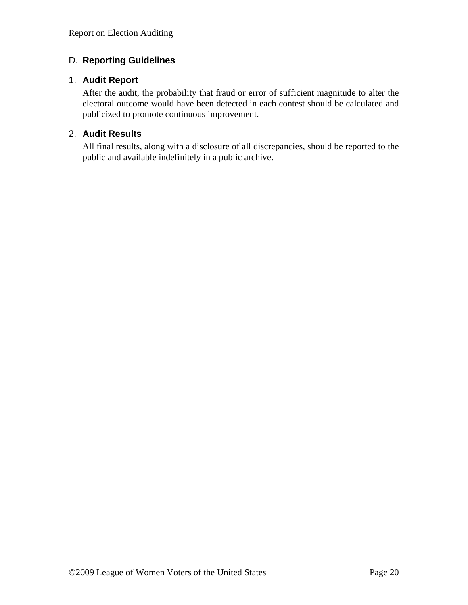### <span id="page-19-0"></span>D. **Reporting Guidelines**

#### <span id="page-19-1"></span>1. **Audit Report**

After the audit, the probability that fraud or error of sufficient magnitude to alter the electoral outcome would have been detected in each contest should be calculated and publicized to promote continuous improvement.

#### <span id="page-19-2"></span>2. **Audit Results**

All final results, along with a disclosure of all discrepancies, should be reported to the public and available indefinitely in a public archive.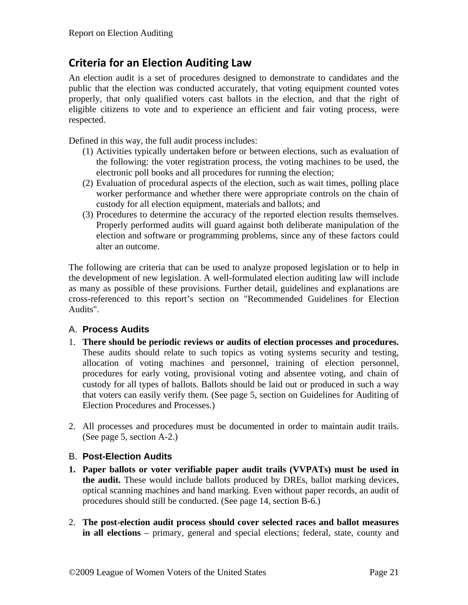# <span id="page-20-0"></span>**Criteria for an Election Auditing Law**

An election audit is a set of procedures designed to demonstrate to candidates and the public that the election was conducted accurately, that voting equipment counted votes properly, that only qualified voters cast ballots in the election, and that the right of eligible citizens to vote and to experience an efficient and fair voting process, were respected.

Defined in this way, the full audit process includes:

- (1) Activities typically undertaken before or between elections, such as evaluation of the following: the voter registration process, the voting machines to be used, the electronic poll books and all procedures for running the election;
- (2) Evaluation of procedural aspects of the election, such as wait times, polling place worker performance and whether there were appropriate controls on the chain of custody for all election equipment, materials and ballots; and
- (3) Procedures to determine the accuracy of the reported election results themselves. Properly performed audits will guard against both deliberate manipulation of the election and software or programming problems, since any of these factors could alter an outcome.

The following are criteria that can be used to analyze proposed legislation or to help in the development of new legislation. A well-formulated election auditing law will include as many as possible of these provisions. Further detail, guidelines and explanations are cross-referenced to this report's section on "Recommended Guidelines for Election Audits".

#### <span id="page-20-1"></span>A. **Process Audits**

- 1. **There should be periodic reviews or audits of election processes and procedures.** These audits should relate to such topics as voting systems security and testing, allocation of voting machines and personnel, training of election personnel, procedures for early voting, provisional voting and absentee voting, and chain of custody for all types of ballots. Ballots should be laid out or produced in such a way that voters can easily verify them. (See page [5](#page-4-0), section on Guidelines for Auditing of Election Procedures and Processes.)
- 2. All processes and procedures must be documented in order to maintain audit trails. (See page [5,](#page-4-1) section A-2.)

#### <span id="page-20-2"></span>B. **Post-Election Audits**

- **1. Paper ballots or voter verifiable paper audit trails (VVPATs) must be used in the audit.** These would include ballots produced by DREs, ballot marking devices, optical scanning machines and hand marking. Even without paper records, an audit of procedures should still be conducted. (See page [14](#page-13-1), section B-6.)
- 2. **The post-election audit process should cover selected races and ballot measures in all elections** – primary, general and special elections; federal, state, county and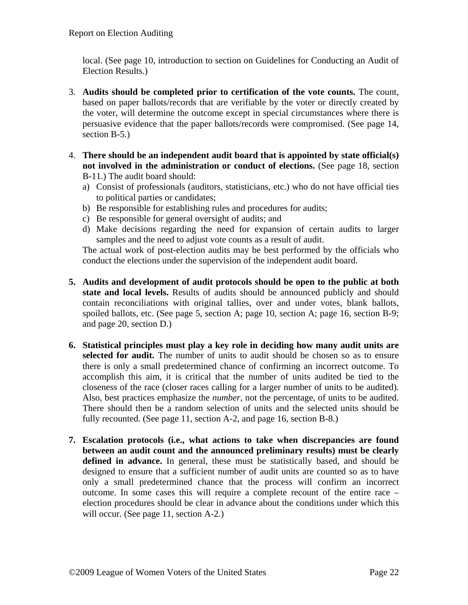local. (See page [10](#page-9-1), introduction to section on Guidelines for Conducting an Audit of Election Results.)

- 3. **Audits should be completed prior to certification of the vote counts.** The count, based on paper ballots/records that are verifiable by the voter or directly created by the voter, will determine the outcome except in special circumstances where there is persuasive evidence that the paper ballots/records were compromised. (See page [14](#page-13-0), section B-5.)
- 4. **There should be an independent audit board that is appointed by state official(s) not involved in the administration or conduct of elections.** (See page [18,](#page-17-0) section B-11.) The audit board should:
	- a) Consist of professionals (auditors, statisticians, etc.) who do not have official ties to political parties or candidates;
	- b) Be responsible for establishing rules and procedures for audits;
	- c) Be responsible for general oversight of audits; and
	- d) Make decisions regarding the need for expansion of certain audits to larger samples and the need to adjust vote counts as a result of audit.

The actual work of post-election audits may be best performed by the officials who conduct the elections under the supervision of the independent audit board.

- **5. Audits and development of audit protocols should be open to the public at both state and local levels.** Results of audits should be announced publicly and should contain reconciliations with original tallies, over and under votes, blank ballots, spoiled ballots, etc. (See page [5,](#page-4-1) section A; page [10](#page-9-1), section A; page [16,](#page-15-1) section B-9; and page [20,](#page-19-0) section D.)
- **6. Statistical principles must play a key role in deciding how many audit units are selected for audit.** The number of units to audit should be chosen so as to ensure there is only a small predetermined chance of confirming an incorrect outcome. To accomplish this aim, it is critical that the number of units audited be tied to the closeness of the race (closer races calling for a larger number of units to be audited). Also, best practices emphasize the *number*, not the percentage, of units to be audited. There should then be a random selection of units and the selected units should be fully recounted. (See page [11,](#page-10-0) section A-2, and page [16,](#page-15-0) section B-8.)
- **7. Escalation protocols (i.e., what actions to take when discrepancies are found between an audit count and the announced preliminary results) must be clearly defined in advance.** In general, these must be statistically based, and should be designed to ensure that a sufficient number of audit units are counted so as to have only a small predetermined chance that the process will confirm an incorrect outcome. In some cases this will require a complete recount of the entire race – election procedures should be clear in advance about the conditions under which this will occur. (See page [11](#page-10-0), section A-2.)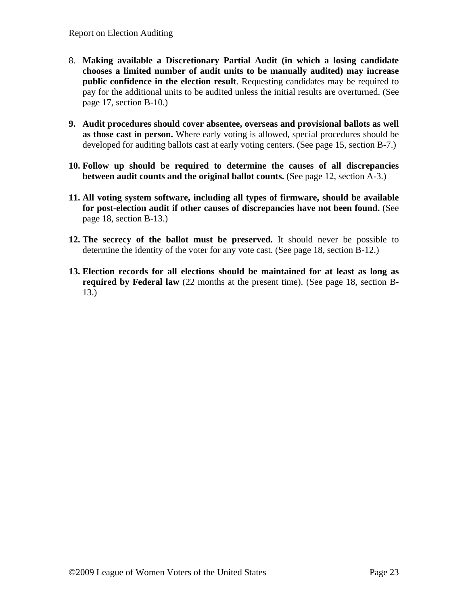- 8. **Making available a Discretionary Partial Audit (in which a losing candidate chooses a limited number of audit units to be manually audited) may increase public confidence in the election result**. Requesting candidates may be required to pay for the additional units to be audited unless the initial results are overturned. (See page [17,](#page-16-0) section B-10.)
- **9. Audit procedures should cover absentee, overseas and provisional ballots as well as those cast in person.** Where early voting is allowed, special procedures should be developed for auditing ballots cast at early voting centers. (See page [15,](#page-14-0) section B-7.)
- **10. Follow up should be required to determine the causes of all discrepancies between audit counts and the original ballot counts.** (See page [12,](#page-11-0) section A-3.)
- **11. All voting system software, including all types of firmware, should be available for post-election audit if other causes of discrepancies have not been found.** (See page [18,](#page-17-2) section B-13.)
- **12. The secrecy of the ballot must be preserved.** It should never be possible to determine the identity of the voter for any vote cast. (See page [18](#page-17-1), section B-12.)
- **13. Election records for all elections should be maintained for at least as long as required by Federal law** (22 months at the present time). (See page [18,](#page-17-2) section B-13.)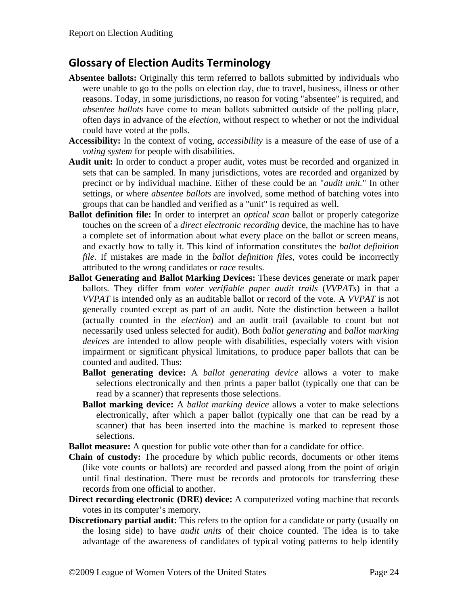# <span id="page-23-0"></span>**Glossary of Election Audits Terminology**

- **Absentee ballots:** Originally this term referred to ballots submitted by individuals who were unable to go to the polls on election day, due to travel, business, illness or other reasons. Today, in some jurisdictions, no reason for voting "absentee" is required, and *absentee ballots* have come to mean ballots submitted outside of the polling place, often days in advance of the *election*, without respect to whether or not the individual could have voted at the polls.
- **Accessibility:** In the context of voting, *accessibility* is a measure of the ease of use of a *voting system* for people with disabilities.
- **Audit unit:** In order to conduct a proper audit, votes must be recorded and organized in sets that can be sampled. In many jurisdictions, votes are recorded and organized by precinct or by individual machine. Either of these could be an "*audit unit.*" In other settings, or where *absentee ballots* are involved, some method of batching votes into groups that can be handled and verified as a "unit" is required as well.
- **Ballot definition file:** In order to interpret an *optical scan* ballot or properly categorize touches on the screen of a *direct electronic recording* device, the machine has to have a complete set of information about what every place on the ballot or screen means, and exactly how to tally it. This kind of information constitutes the *ballot definition file*. If mistakes are made in the *ballot definition files*, votes could be incorrectly attributed to the wrong candidates or *race* results.
- **Ballot Generating and Ballot Marking Devices:** These devices generate or mark paper ballots. They differ from *voter verifiable paper audit trails* (*VVPATs*) in that a *VVPAT* is intended only as an auditable ballot or record of the vote. A *VVPAT* is not generally counted except as part of an audit. Note the distinction between a ballot (actually counted in the *election*) and an audit trail (available to count but not necessarily used unless selected for audit). Both *ballot generating* and *ballot marking devices* are intended to allow people with disabilities, especially voters with vision impairment or significant physical limitations, to produce paper ballots that can be counted and audited. Thus:
	- **Ballot generating device:** A *ballot generating device* allows a voter to make selections electronically and then prints a paper ballot (typically one that can be read by a scanner) that represents those selections.
	- **Ballot marking device:** A *ballot marking device* allows a voter to make selections electronically, after which a paper ballot (typically one that can be read by a scanner) that has been inserted into the machine is marked to represent those selections.

**Ballot measure:** A question for public vote other than for a candidate for office.

- **Chain of custody:** The procedure by which public records, documents or other items (like vote counts or ballots) are recorded and passed along from the point of origin until final destination. There must be records and protocols for transferring these records from one official to another.
- **Direct recording electronic (DRE) device:** A computerized voting machine that records votes in its computer's memory.
- **Discretionary partial audit:** This refers to the option for a candidate or party (usually on the losing side) to have *audit units* of their choice counted. The idea is to take advantage of the awareness of candidates of typical voting patterns to help identify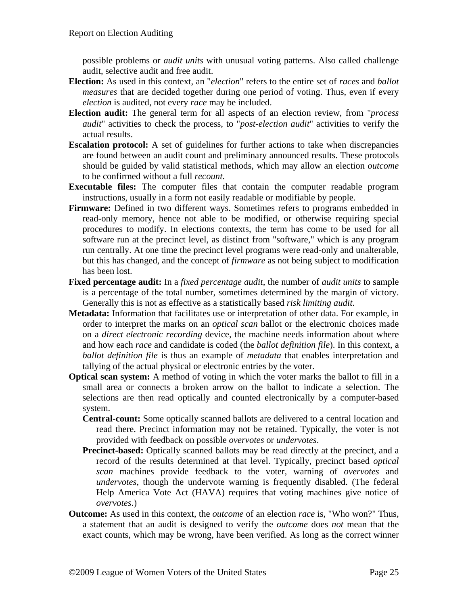possible problems or *audit units* with unusual voting patterns. Also called challenge audit, selective audit and free audit.

- **Election:** As used in this context, an "*election*" refers to the entire set of *races* and *ballot measures* that are decided together during one period of voting. Thus, even if every *election* is audited, not every *race* may be included.
- **Election audit:** The general term for all aspects of an election review, from "*process audit*" activities to check the process, to "*post-election audit*" activities to verify the actual results.
- **Escalation protocol:** A set of guidelines for further actions to take when discrepancies are found between an audit count and preliminary announced results. These protocols should be guided by valid statistical methods, which may allow an election *outcome* to be confirmed without a full *recount*.
- **Executable files:** The computer files that contain the computer readable program instructions, usually in a form not easily readable or modifiable by people.
- **Firmware:** Defined in two different ways. Sometimes refers to programs embedded in read-only memory, hence not able to be modified, or otherwise requiring special procedures to modify. In elections contexts, the term has come to be used for all software run at the precinct level, as distinct from "software," which is any program run centrally. At one time the precinct level programs were read-only and unalterable, but this has changed, and the concept of *firmware* as not being subject to modification has been lost.
- **Fixed percentage audit:** In a *fixed percentage audit*, the number of *audit units* to sample is a percentage of the total number, sometimes determined by the margin of victory. Generally this is not as effective as a statistically based *risk limiting audit*.
- **Metadata:** Information that facilitates use or interpretation of other data. For example, in order to interpret the marks on an *optical scan* ballot or the electronic choices made on a *direct electronic recording* device, the machine needs information about where and how each *race* and candidate is coded (the *ballot definition file*). In this context, a *ballot definition file* is thus an example of *metadata* that enables interpretation and tallying of the actual physical or electronic entries by the voter.
- **Optical scan system:** A method of voting in which the voter marks the ballot to fill in a small area or connects a broken arrow on the ballot to indicate a selection. The selections are then read optically and counted electronically by a computer-based system.
	- **Central-count:** Some optically scanned ballots are delivered to a central location and read there. Precinct information may not be retained. Typically, the voter is not provided with feedback on possible *overvotes* or *undervotes*.
	- **Precinct-based:** Optically scanned ballots may be read directly at the precinct, and a record of the results determined at that level. Typically, precinct based *optical scan* machines provide feedback to the voter, warning of *overvotes* and *undervotes*, though the undervote warning is frequently disabled. (The federal Help America Vote Act (HAVA) requires that voting machines give notice of *overvotes*.)
- **Outcome:** As used in this context, the *outcome* of an election *race* is, "Who won?" Thus, a statement that an audit is designed to verify the *outcome* does *not* mean that the exact counts, which may be wrong, have been verified. As long as the correct winner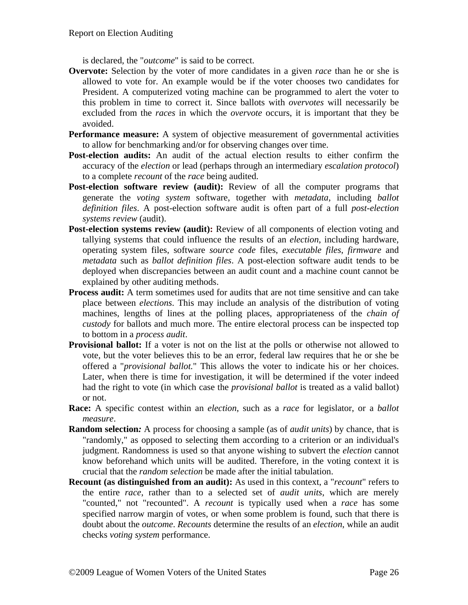is declared, the "*outcome*" is said to be correct.

- **Overvote:** Selection by the voter of more candidates in a given *race* than he or she is allowed to vote for. An example would be if the voter chooses two candidates for President. A computerized voting machine can be programmed to alert the voter to this problem in time to correct it. Since ballots with *overvotes* will necessarily be excluded from the *races* in which the *overvote* occurs, it is important that they be avoided.
- **Performance measure:** A system of objective measurement of governmental activities to allow for benchmarking and/or for observing changes over time.
- **Post-election audits:** An audit of the actual election results to either confirm the accuracy of the *election* or lead (perhaps through an intermediary *escalation protocol*) to a complete *recount* of the *race* being audited.
- Post-election software review (audit): Review of all the computer programs that generate the *voting system* software, together with *metadata*, including *ballot definition files*. A post-election software audit is often part of a full *post-election systems review* (audit).
- **Post-election systems review (audit):** Review of all components of election voting and tallying systems that could influence the results of an *election*, including hardware, operating system files, software *source code* files, *executable files*, *firmware* and *metadata* such as *ballot definition files*. A post-election software audit tends to be deployed when discrepancies between an audit count and a machine count cannot be explained by other auditing methods.
- **Process audit:** A term sometimes used for audits that are not time sensitive and can take place between *elections*. This may include an analysis of the distribution of voting machines, lengths of lines at the polling places, appropriateness of the *chain of custody* for ballots and much more. The entire electoral process can be inspected top to bottom in a *process audit*.
- **Provisional ballot:** If a voter is not on the list at the polls or otherwise not allowed to vote, but the voter believes this to be an error, federal law requires that he or she be offered a "*provisional ballot.*" This allows the voter to indicate his or her choices. Later, when there is time for investigation, it will be determined if the voter indeed had the right to vote (in which case the *provisional ballot* is treated as a valid ballot) or not.
- **Race:** A specific contest within an *election*, such as a *race* for legislator, or a *ballot measure*.
- **Random selection***:* A process for choosing a sample (as of *audit units*) by chance, that is "randomly," as opposed to selecting them according to a criterion or an individual's judgment. Randomness is used so that anyone wishing to subvert the *election* cannot know beforehand which units will be audited. Therefore, in the voting context it is crucial that the *random selection* be made after the initial tabulation.
- **Recount (as distinguished from an audit):** As used in this context, a "*recount*" refers to the entire *race*, rather than to a selected set of *audit units*, which are merely "counted," not "recounted". A *recount* is typically used when a *race* has some specified narrow margin of votes, or when some problem is found, such that there is doubt about the *outcome*. *Recounts* determine the results of an *election*, while an audit checks *voting system* performance.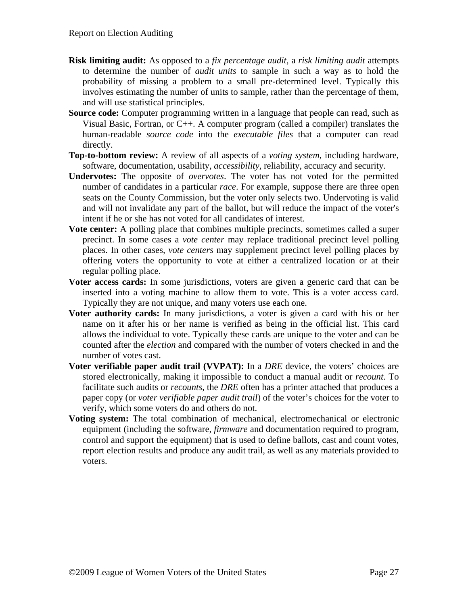- **Risk limiting audit:** As opposed to a *fix percentage audit*, a *risk limiting audit* attempts to determine the number of *audit units* to sample in such a way as to hold the probability of missing a problem to a small pre-determined level. Typically this involves estimating the number of units to sample, rather than the percentage of them, and will use statistical principles.
- **Source code:** Computer programming written in a language that people can read, such as Visual Basic, Fortran, or C++. A computer program (called a compiler) translates the human-readable *source code* into the *executable files* that a computer can read directly.
- **Top-to-bottom review:** A review of all aspects of a *voting system*, including hardware, software, documentation, usability, *accessibility*, reliability, accuracy and security.
- **Undervotes:** The opposite of *overvotes*. The voter has not voted for the permitted number of candidates in a particular *race*. For example, suppose there are three open seats on the County Commission, but the voter only selects two. Undervoting is valid and will not invalidate any part of the ballot, but will reduce the impact of the voter's intent if he or she has not voted for all candidates of interest.
- **Vote center:** A polling place that combines multiple precincts, sometimes called a super precinct. In some cases a *vote center* may replace traditional precinct level polling places. In other cases, *vote centers* may supplement precinct level polling places by offering voters the opportunity to vote at either a centralized location or at their regular polling place.
- **Voter access cards:** In some jurisdictions, voters are given a generic card that can be inserted into a voting machine to allow them to vote. This is a voter access card. Typically they are not unique, and many voters use each one.
- **Voter authority cards:** In many jurisdictions, a voter is given a card with his or her name on it after his or her name is verified as being in the official list. This card allows the individual to vote. Typically these cards are unique to the voter and can be counted after the *election* and compared with the number of voters checked in and the number of votes cast.
- **Voter verifiable paper audit trail (VVPAT):** In a *DRE* device, the voters' choices are stored electronically, making it impossible to conduct a manual audit or *recount*. To facilitate such audits or *recounts*, the *DRE* often has a printer attached that produces a paper copy (or *voter verifiable paper audit trail*) of the voter's choices for the voter to verify, which some voters do and others do not.
- **Voting system:** The total combination of mechanical, electromechanical or electronic equipment (including the software, *firmware* and documentation required to program, control and support the equipment) that is used to define ballots, cast and count votes, report election results and produce any audit trail, as well as any materials provided to voters.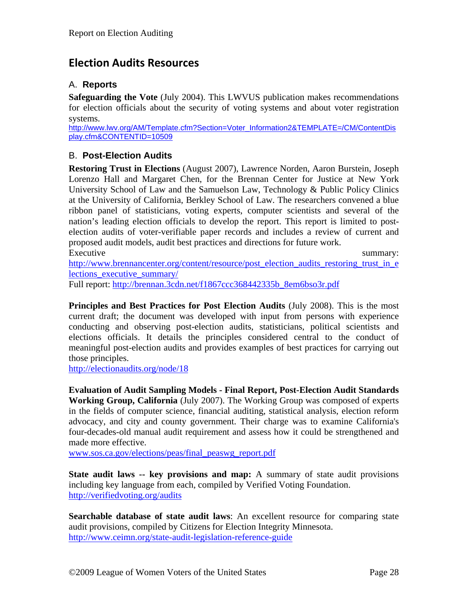# <span id="page-27-0"></span>**Election Audits Resources**

#### <span id="page-27-1"></span>A. **Reports**

**Safeguarding the Vote** (July 2004). This LWVUS publication makes recommendations for election officials about the security of voting systems and about voter registration systems.

[http://www.lwv.org/AM/Template.cfm?Section=Voter\\_Information2&TEMPLATE=/CM/ContentDis](http://www.lwv.org/AM/Template.cfm?Section=Voter_Information2&TEMPLATE=/CM/ContentDisplay.cfm&CONTENTID=10509) [play.cfm&CONTENTID=10509](http://www.lwv.org/AM/Template.cfm?Section=Voter_Information2&TEMPLATE=/CM/ContentDisplay.cfm&CONTENTID=10509)

#### <span id="page-27-2"></span>B. **Post-Election Audits**

**Restoring Trust in Elections** (August 2007), Lawrence Norden, Aaron Burstein, Joseph Lorenzo Hall and Margaret Chen, for the Brennan Center for Justice at New York University School of Law and the Samuelson Law, Technology & Public Policy Clinics at the University of California, Berkley School of Law. The researchers convened a blue ribbon panel of statisticians, voting experts, computer scientists and several of the nation's leading election officials to develop the report. This report is limited to postelection audits of voter-verifiable paper records and includes a review of current and proposed audit models, audit best practices and directions for future work. Executive summary:

[http://www.brennancenter.org/content/resource/post\\_election\\_audits\\_restoring\\_trust\\_in\\_e](http://www.brennancenter.org/content/resource/post_election_audits_restoring_trust_in_elections_executive_summary/) [lections\\_executive\\_summary/](http://www.brennancenter.org/content/resource/post_election_audits_restoring_trust_in_elections_executive_summary/)

Full report: [http://brennan.3cdn.net/f1867ccc368442335b\\_8em6bso3r.pdf](http://brennan.3cdn.net/f1867ccc368442335b_8em6bso3r.pdf)

**Principles and Best Practices for Post Election Audits** (July 2008). This is the most current draft; the document was developed with input from persons with experience conducting and observing post-election audits, statisticians, political scientists and elections officials. It details the principles considered central to the conduct of meaningful post-election audits and provides examples of best practices for carrying out those principles.

<http://electionaudits.org/node/18>

**Evaluation of Audit Sampling Models - Final Report, Post-Election Audit Standards Working Group, California** (July 2007). The Working Group was composed of experts in the fields of computer science, financial auditing, statistical analysis, election reform advocacy, and city and county government. Their charge was to examine California's four-decades-old manual audit requirement and assess how it could be strengthened and made more effective.

[www.sos.ca.gov/elections/peas/final\\_peaswg\\_report.pdf](http://www.sos.ca.gov/elections/peas/final_peaswg_report.pdf)

**State audit laws -- key provisions and map:** A summary of state audit provisions including key language from each, compiled by Verified Voting Foundation. <http://verifiedvoting.org/audits>

**Searchable database of state audit laws**: An excellent resource for comparing state audit provisions, compiled by Citizens for Election Integrity Minnesota. <http://www.ceimn.org/state-audit-legislation-reference-guide>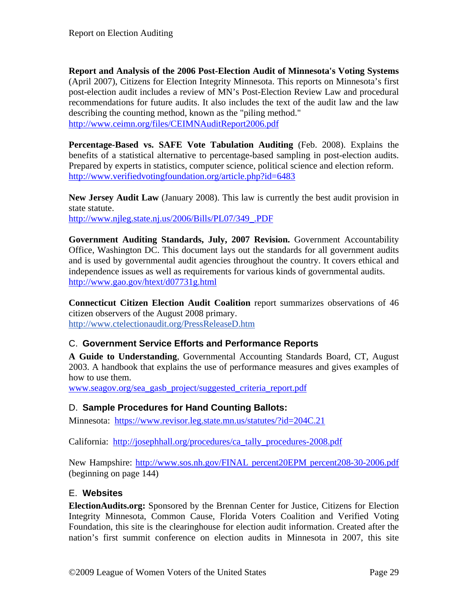**Report and Analysis of the 2006 Post-Election Audit of Minnesota's Voting Systems**  (April 2007), Citizens for Election Integrity Minnesota. This reports on Minnesota's first post-election audit includes a review of MN's Post-Election Review Law and procedural recommendations for future audits. It also includes the text of the audit law and the law describing the counting method, known as the "piling method." <http://www.ceimn.org/files/CEIMNAuditReport2006.pdf>

**Percentage-Based vs. SAFE Vote Tabulation Auditing** (Feb. 2008). Explains the benefits of a statistical alternative to percentage-based sampling in post-election audits. Prepared by experts in statistics, computer science, political science and election reform. <http://www.verifiedvotingfoundation.org/article.php?id=6483>

**New Jersey Audit Law** (January 2008). This law is currently the best audit provision in state statute.

[http://www.njleg.state.nj.us/2006/Bills/PL07/349\\_.PDF](http://www.njleg.state.nj.us/2006/Bills/PL07/349_.PDF)

**Government Auditing Standards, July, 2007 Revision.** Government Accountability Office, Washington DC. This document lays out the standards for all government audits and is used by governmental audit agencies throughout the country. It covers ethical and independence issues as well as requirements for various kinds of governmental audits. <http://www.gao.gov/htext/d07731g.html>

**Connecticut Citizen Election Audit Coalition** report summarizes observations of 46 citizen observers of the August 2008 primary. <http://www.ctelectionaudit.org/PressReleaseD.htm>

#### <span id="page-28-0"></span>C. **Government Service Efforts and Performance Reports**

**A Guide to Understanding**, Governmental Accounting Standards Board, CT, August 2003. A handbook that explains the use of performance measures and gives examples of how to use them.

[www.seagov.org/sea\\_gasb\\_project/suggested\\_criteria\\_report.pdf](http://www.seagov.org/sea_gasb_project/suggested_criteria_report.pdf)

#### <span id="page-28-1"></span>D. **Sample Procedures for Hand Counting Ballots:**

Minnesota: <https://www.revisor.leg.state.mn.us/statutes/?id=204C.21>

California: [http://josephhall.org/procedures/ca\\_tally\\_procedures-2008.pdf](http://josephhall.org/procedures/ca_tally_procedures-2008.pdf)

New Hampshire: [http://www.sos.nh.gov/FINAL percent20EPM percent208-30-2006.pdf](http://www.sos.nh.gov/FINAL%20EPM%208-30-2006.pdf) (beginning on page 144)

#### <span id="page-28-2"></span>E. **Websites**

**ElectionAudits.org:** Sponsored by the Brennan Center for Justice, Citizens for Election Integrity Minnesota, Common Cause, Florida Voters Coalition and Verified Voting Foundation, this site is the clearinghouse for election audit information. Created after the nation's first summit conference on election audits in Minnesota in 2007, this site